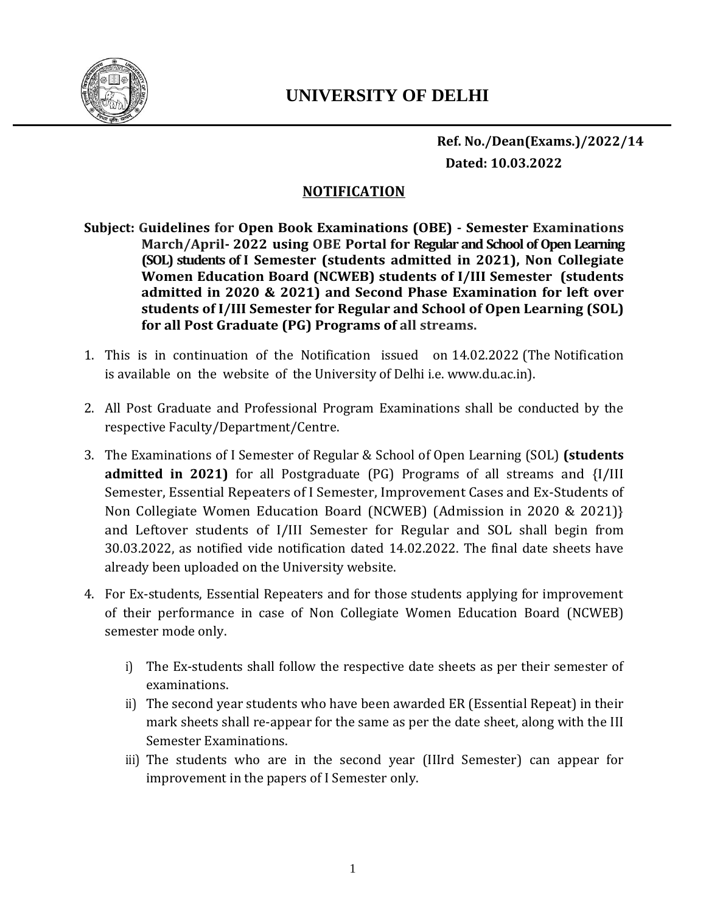

 **Ref. No./Dean(Exams.)/2022/14 Dated: 10.03.2022**

## **NOTIFICATION**

**Subject: Guidelines for Open Book Examinations (OBE) - Semester Examinations March/April- 2022 using OBE Portal for Regular and School of Open Learning (SOL) students of I Semester (students admitted in 2021), Non Collegiate Women Education Board (NCWEB) students of I/III Semester (students admitted in 2020 & 2021) and Second Phase Examination for left over students of I/III Semester for Regular and School of Open Learning (SOL) for all Post Graduate (PG) Programs of all streams.**

- 1. This is in continuation of the Notification issued on 14.02.2022 (The Notification is available on the website of the University of Delhi i.e. www.du.ac.in).
- 2. All Post Graduate and Professional Program Examinations shall be conducted by the respective Faculty/Department/Centre.
- 3. The Examinations of I Semester of Regular & School of Open Learning (SOL) **(students admitted in 2021)** for all Postgraduate (PG) Programs of all streams and {I/III Semester, Essential Repeaters of I Semester, Improvement Cases and Ex-Students of Non Collegiate Women Education Board (NCWEB) (Admission in 2020 & 2021)} and Leftover students of I/III Semester for Regular and SOL shall begin from 30.03.2022, as notified vide notification dated 14.02.2022. The final date sheets have already been uploaded on the University website.
- 4. For Ex-students, Essential Repeaters and for those students applying for improvement of their performance in case of Non Collegiate Women Education Board (NCWEB) semester mode only.
	- i) The Ex-students shall follow the respective date sheets as per their semester of examinations.
	- ii) The second year students who have been awarded ER (Essential Repeat) in their mark sheets shall re-appear for the same as per the date sheet, along with the III Semester Examinations.
	- iii) The students who are in the second year (IIIrd Semester) can appear for improvement in the papers of I Semester only.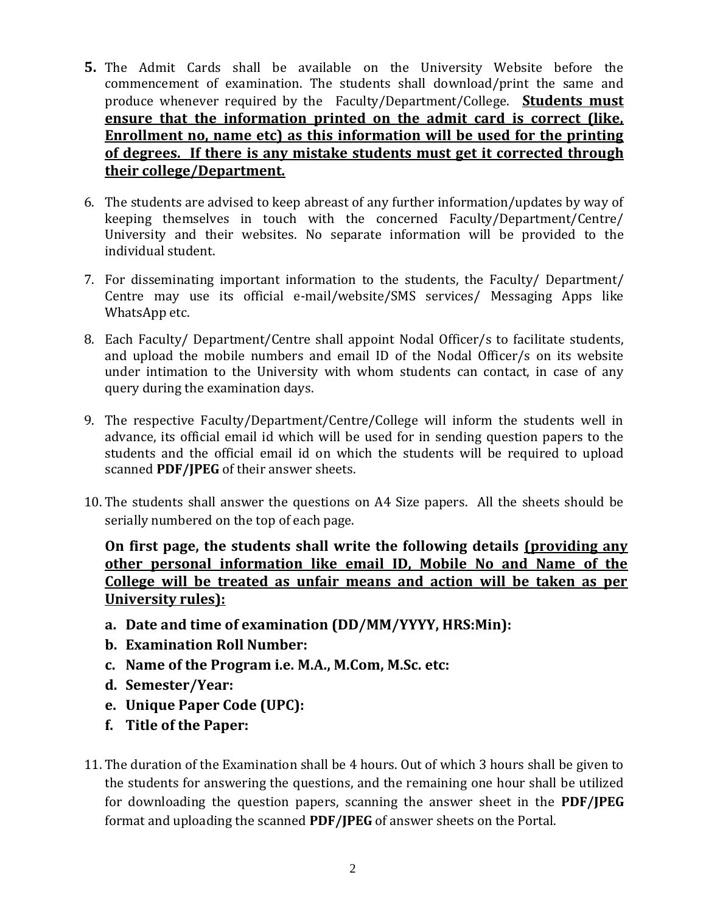- **5.** The Admit Cards shall be available on the University Website before the commencement of examination. The students shall download/print the same and produce whenever required by the Faculty/Department/College. **Students must ensure that the information printed on the admit card is correct (like, Enrollment no, name etc) as this information will be used for the printing of degrees. If there is any mistake students must get it corrected through their college/Department.**
- 6. The students are advised to keep abreast of any further information/updates by way of keeping themselves in touch with the concerned Faculty/Department/Centre/ University and their websites. No separate information will be provided to the individual student.
- 7. For disseminating important information to the students, the Faculty/ Department/ Centre may use its official e-mail/website/SMS services/ Messaging Apps like WhatsApp etc.
- 8. Each Faculty/ Department/Centre shall appoint Nodal Officer/s to facilitate students, and upload the mobile numbers and email ID of the Nodal Officer/s on its website under intimation to the University with whom students can contact, in case of any query during the examination days.
- 9. The respective Faculty/Department/Centre/College will inform the students well in advance, its official email id which will be used for in sending question papers to the students and the official email id on which the students will be required to upload scanned **PDF/JPEG** of their answer sheets.
- 10. The students shall answer the questions on A4 Size papers. All the sheets should be serially numbered on the top of each page.

**On first page, the students shall write the following details (providing any other personal information like email ID, Mobile No and Name of the College will be treated as unfair means and action will be taken as per University rules):**

- **a. Date and time of examination (DD/MM/YYYY, HRS:Min):**
- **b. Examination Roll Number:**
- **c. Name of the Program i.e. M.A., M.Com, M.Sc. etc:**
- **d. Semester/Year:**
- **e. Unique Paper Code (UPC):**
- **f. Title of the Paper:**
- 11. The duration of the Examination shall be 4 hours. Out of which 3 hours shall be given to the students for answering the questions, and the remaining one hour shall be utilized for downloading the question papers, scanning the answer sheet in the **PDF/JPEG** format and uploading the scanned **PDF/JPEG** of answer sheets on the Portal.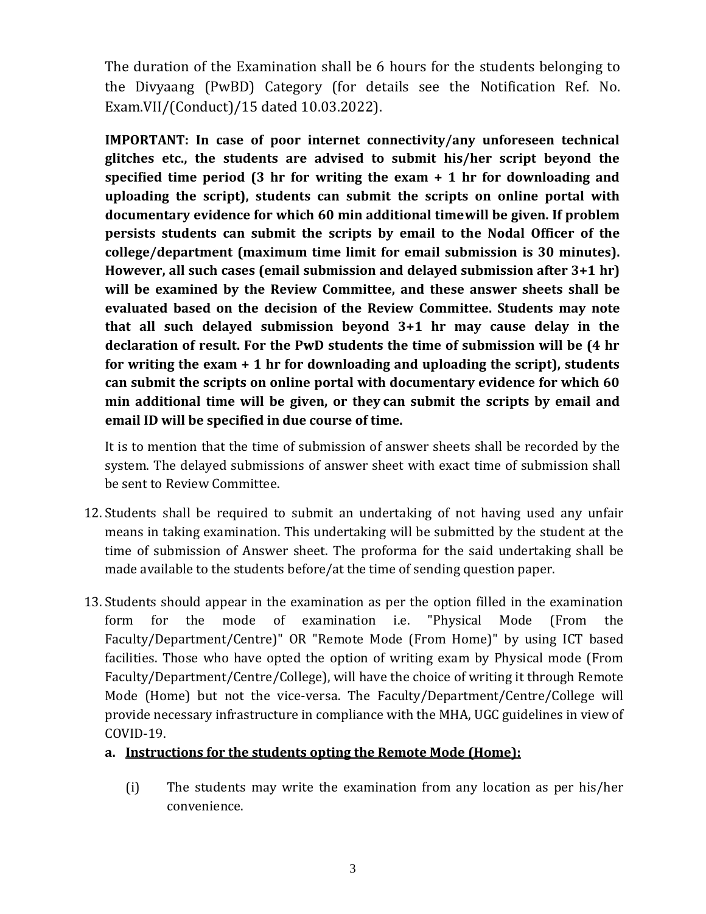The duration of the Examination shall be 6 hours for the students belonging to the Divyaang (PwBD) Category (for details see the Notification Ref. No. Exam.VII/(Conduct)/15 dated 10.03.2022).

**IMPORTANT: In case of poor internet connectivity/any unforeseen technical glitches etc., the students are advised to submit his/her script beyond the specified time period (3 hr for writing the exam + 1 hr for downloading and uploading the script), students can submit the scripts on online portal with documentary evidence for which 60 min additional timewill be given. If problem persists students can submit the scripts by email to the Nodal Officer of the college/department (maximum time limit for email submission is 30 minutes). However, all such cases (email submission and delayed submission after 3+1 hr) will be examined by the Review Committee, and these answer sheets shall be evaluated based on the decision of the Review Committee. Students may note that all such delayed submission beyond 3+1 hr may cause delay in the declaration of result. For the PwD students the time of submission will be (4 hr for writing the exam + 1 hr for downloading and uploading the script), students can submit the scripts on online portal with documentary evidence for which 60 min additional time will be given, or they can submit the scripts by email and email ID will be specified in due course of time.**

It is to mention that the time of submission of answer sheets shall be recorded by the system. The delayed submissions of answer sheet with exact time of submission shall be sent to Review Committee.

- 12. Students shall be required to submit an undertaking of not having used any unfair means in taking examination. This undertaking will be submitted by the student at the time of submission of Answer sheet. The proforma for the said undertaking shall be made available to the students before/at the time of sending question paper.
- 13. Students should appear in the examination as per the option filled in the examination form for the mode of examination i.e. "Physical Mode (From the Faculty/Department/Centre)" OR "Remote Mode (From Home)" by using ICT based facilities. Those who have opted the option of writing exam by Physical mode (From Faculty/Department/Centre/College), will have the choice of writing it through Remote Mode (Home) but not the vice-versa. The Faculty/Department/Centre/College will provide necessary infrastructure in compliance with the MHA, UGC guidelines in view of COVID-19.

## **a. Instructions for the students opting the Remote Mode (Home):**

(i) The students may write the examination from any location as per his/her convenience.